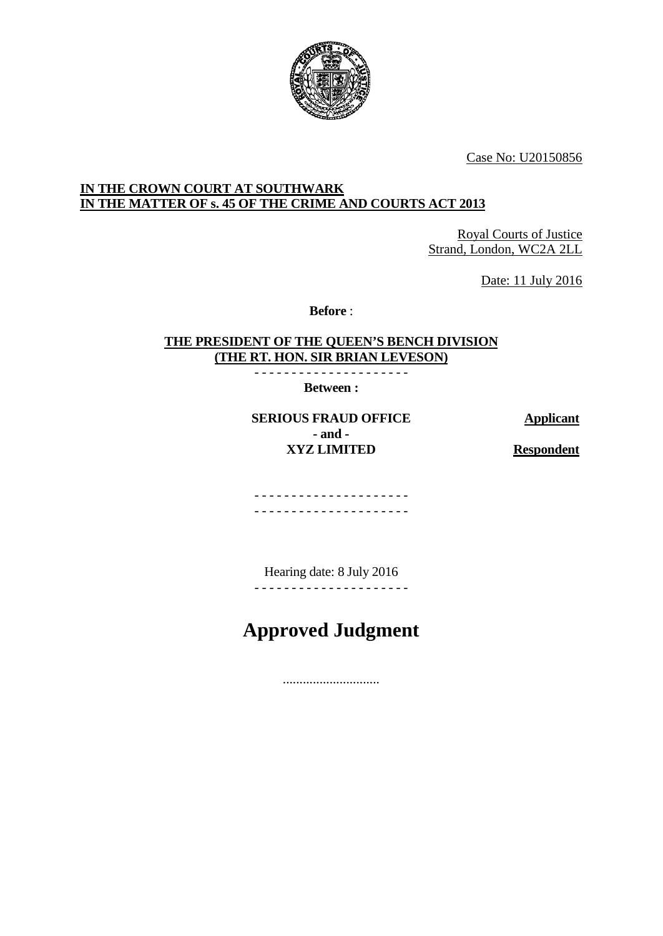

Case No: U20150856

## **IN THE CROWN COURT AT SOUTHWARK IN THE MATTER OF s. 45 OF THE CRIME AND COURTS ACT 2013**

Royal Courts of Justice Strand, London, WC2A 2LL

Date: 11 July 2016

**Before** :

## **THE PRESIDENT OF THE QUEEN'S BENCH DIVISION (THE RT. HON. SIR BRIAN LEVESON)**

- - - - - - - - - - - - - - - - - - - - - **Between :**

**SERIOUS FRAUD OFFICE Applicant - and - XYZ LIMITED Respondent**

- - - - - - - - - - - - - - - - - - - - - - - - - - - - - - - - - - - - - - - - - -

Hearing date: 8 July 2016 - - - - - - - - - - - - - - - - - - - - -

**Approved Judgment**

.............................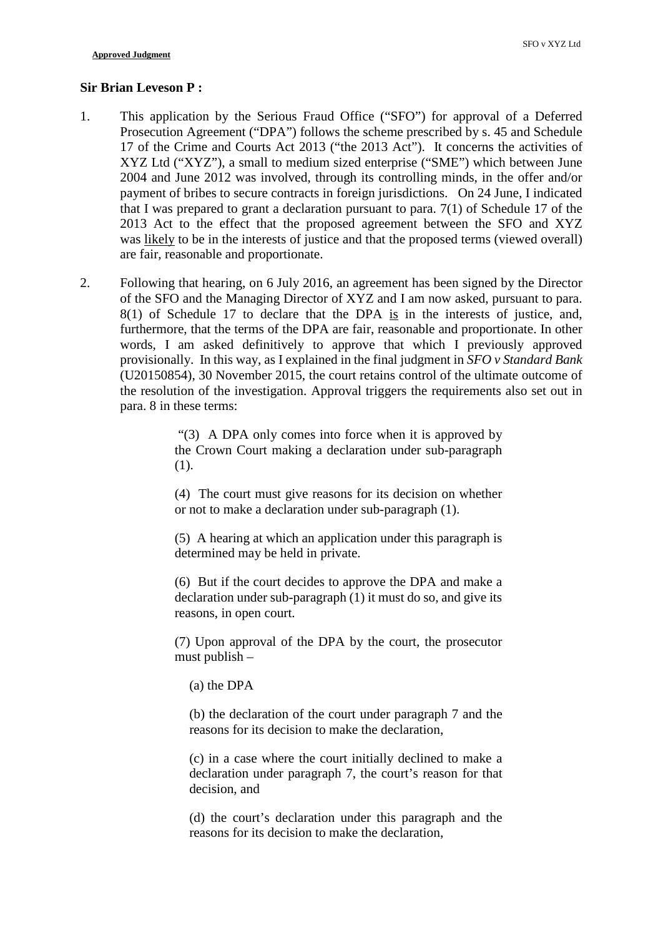## **Sir Brian Leveson P :**

- 1. This application by the Serious Fraud Office ("SFO") for approval of a Deferred Prosecution Agreement ("DPA") follows the scheme prescribed by s. 45 and Schedule 17 of the Crime and Courts Act 2013 ("the 2013 Act"). It concerns the activities of XYZ Ltd ("XYZ"), a small to medium sized enterprise ("SME") which between June 2004 and June 2012 was involved, through its controlling minds, in the offer and/or payment of bribes to secure contracts in foreign jurisdictions. On 24 June, I indicated that I was prepared to grant a declaration pursuant to para. 7(1) of Schedule 17 of the 2013 Act to the effect that the proposed agreement between the SFO and XYZ was likely to be in the interests of justice and that the proposed terms (viewed overall) are fair, reasonable and proportionate.
- 2. Following that hearing, on 6 July 2016, an agreement has been signed by the Director of the SFO and the Managing Director of XYZ and I am now asked, pursuant to para. 8(1) of Schedule 17 to declare that the DPA is in the interests of justice, and, furthermore, that the terms of the DPA are fair, reasonable and proportionate. In other words, I am asked definitively to approve that which I previously approved provisionally. In this way, as I explained in the final judgment in *SFO v Standard Bank* (U20150854), 30 November 2015, the court retains control of the ultimate outcome of the resolution of the investigation. Approval triggers the requirements also set out in para. 8 in these terms:

"(3) A DPA only comes into force when it is approved by the Crown Court making a declaration under sub-paragraph (1).

(4) The court must give reasons for its decision on whether or not to make a declaration under sub-paragraph (1).

(5) A hearing at which an application under this paragraph is determined may be held in private.

(6) But if the court decides to approve the DPA and make a declaration under sub-paragraph (1) it must do so, and give its reasons, in open court.

(7) Upon approval of the DPA by the court, the prosecutor must publish –

(a) the DPA

(b) the declaration of the court under paragraph 7 and the reasons for its decision to make the declaration,

(c) in a case where the court initially declined to make a declaration under paragraph 7, the court's reason for that decision, and

(d) the court's declaration under this paragraph and the reasons for its decision to make the declaration,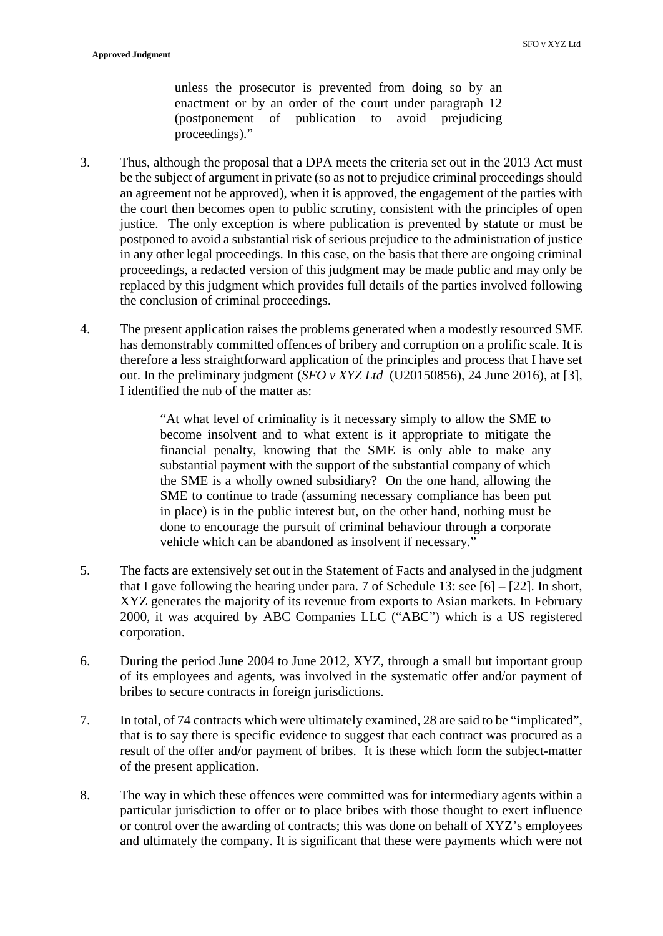unless the prosecutor is prevented from doing so by an enactment or by an order of the court under paragraph 12<br>(postponement of publication to avoid prejudicing (postponement of publication to avoid prejudicing proceedings)."

- 3. Thus, although the proposal that a DPA meets the criteria set out in the 2013 Act must be the subject of argument in private (so as not to prejudice criminal proceedings should an agreement not be approved), when it is approved, the engagement of the parties with the court then becomes open to public scrutiny, consistent with the principles of open justice. The only exception is where publication is prevented by statute or must be postponed to avoid a substantial risk of serious prejudice to the administration of justice in any other legal proceedings. In this case, on the basis that there are ongoing criminal proceedings, a redacted version of this judgment may be made public and may only be replaced by this judgment which provides full details of the parties involved following the conclusion of criminal proceedings.
- 4. The present application raises the problems generated when a modestly resourced SME has demonstrably committed offences of bribery and corruption on a prolific scale. It is therefore a less straightforward application of the principles and process that I have set out. In the preliminary judgment (*SFO v XYZ Ltd* (U20150856), 24 June 2016), at [3], I identified the nub of the matter as:

"At what level of criminality is it necessary simply to allow the SME to become insolvent and to what extent is it appropriate to mitigate the financial penalty, knowing that the SME is only able to make any substantial payment with the support of the substantial company of which the SME is a wholly owned subsidiary? On the one hand, allowing the SME to continue to trade (assuming necessary compliance has been put in place) is in the public interest but, on the other hand, nothing must be done to encourage the pursuit of criminal behaviour through a corporate vehicle which can be abandoned as insolvent if necessary."

- 5. The facts are extensively set out in the Statement of Facts and analysed in the judgment that I gave following the hearing under para. 7 of Schedule 13: see  $[6] - [22]$ . In short, XYZ generates the majority of its revenue from exports to Asian markets. In February 2000, it was acquired by ABC Companies LLC ("ABC") which is a US registered corporation.
- 6. During the period June 2004 to June 2012, XYZ, through a small but important group of its employees and agents, was involved in the systematic offer and/or payment of bribes to secure contracts in foreign jurisdictions.
- 7. In total, of 74 contracts which were ultimately examined, 28 are said to be "implicated", that is to say there is specific evidence to suggest that each contract was procured as a result of the offer and/or payment of bribes. It is these which form the subject-matter of the present application.
- 8. The way in which these offences were committed was for intermediary agents within a particular jurisdiction to offer or to place bribes with those thought to exert influence or control over the awarding of contracts; this was done on behalf of XYZ's employees and ultimately the company. It is significant that these were payments which were not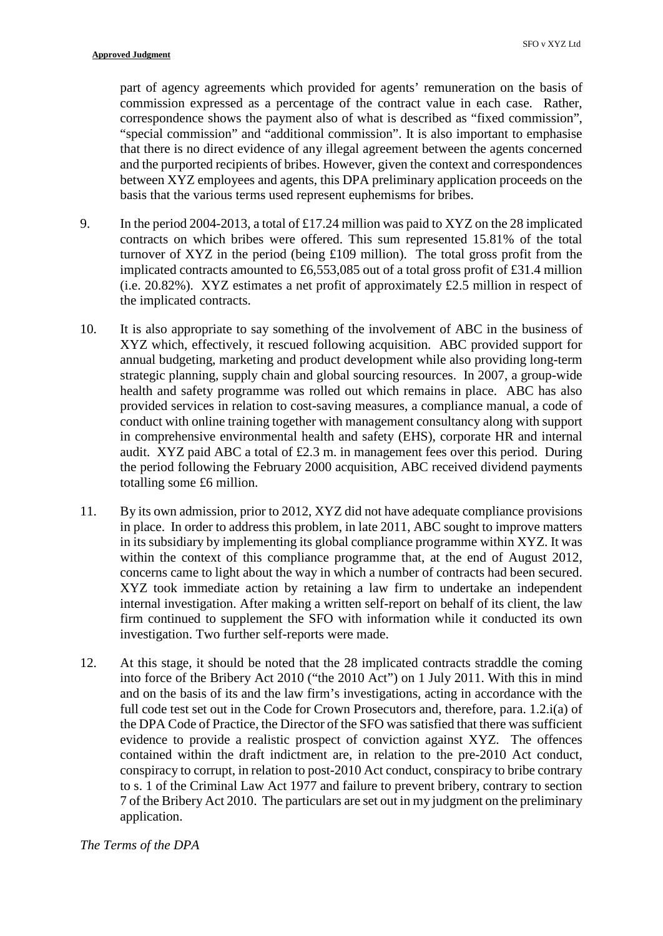part of agency agreements which provided for agents' remuneration on the basis of commission expressed as a percentage of the contract value in each case. Rather, correspondence shows the payment also of what is described as "fixed commission", "special commission" and "additional commission". It is also important to emphasise that there is no direct evidence of any illegal agreement between the agents concerned and the purported recipients of bribes. However, given the context and correspondences between XYZ employees and agents, this DPA preliminary application proceeds on the basis that the various terms used represent euphemisms for bribes.

- 9. In the period 2004-2013, a total of £17.24 million was paid to XYZ on the 28 implicated contracts on which bribes were offered. This sum represented 15.81% of the total turnover of XYZ in the period (being £109 million). The total gross profit from the implicated contracts amounted to £6,553,085 out of a total gross profit of £31.4 million (i.e. 20.82%). XYZ estimates a net profit of approximately £2.5 million in respect of the implicated contracts.
- 10. It is also appropriate to say something of the involvement of ABC in the business of XYZ which, effectively, it rescued following acquisition. ABC provided support for annual budgeting, marketing and product development while also providing long-term strategic planning, supply chain and global sourcing resources. In 2007, a group-wide health and safety programme was rolled out which remains in place. ABC has also provided services in relation to cost-saving measures, a compliance manual, a code of conduct with online training together with management consultancy along with support in comprehensive environmental health and safety (EHS), corporate HR and internal audit. XYZ paid ABC a total of  $\text{\pounds}2.3$  m. in management fees over this period. During the period following the February 2000 acquisition, ABC received dividend payments totalling some £6 million.
- 11. By its own admission, prior to 2012, XYZ did not have adequate compliance provisions in place. In order to address this problem, in late 2011, ABC sought to improve matters in its subsidiary by implementing its global compliance programme within XYZ. It was within the context of this compliance programme that, at the end of August 2012, concerns came to light about the way in which a number of contracts had been secured. XYZ took immediate action by retaining a law firm to undertake an independent internal investigation. After making a written self-report on behalf of its client, the law firm continued to supplement the SFO with information while it conducted its own investigation. Two further self-reports were made.
- 12. At this stage, it should be noted that the 28 implicated contracts straddle the coming into force of the Bribery Act 2010 ("the 2010 Act") on 1 July 2011. With this in mind and on the basis of its and the law firm's investigations, acting in accordance with the full code test set out in the Code for Crown Prosecutors and, therefore, para. 1.2.i(a) of the DPA Code of Practice, the Director of the SFO was satisfied that there was sufficient evidence to provide a realistic prospect of conviction against XYZ. The offences contained within the draft indictment are, in relation to the pre-2010 Act conduct, conspiracy to corrupt, in relation to post-2010 Act conduct, conspiracy to bribe contrary to s. 1 of the Criminal Law Act 1977 and failure to prevent bribery, contrary to section 7 of the Bribery Act 2010. The particulars are set out in my judgment on the preliminary application.

*The Terms of the DPA*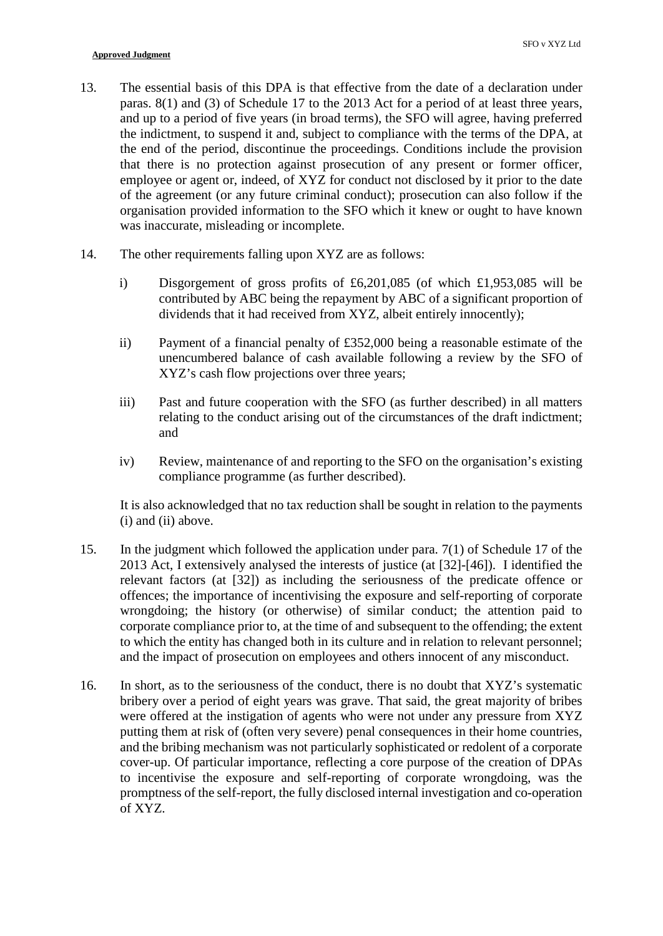- 13. The essential basis of this DPA is that effective from the date of a declaration under paras. 8(1) and (3) of Schedule 17 to the 2013 Act for a period of at least three years, and up to a period of five years (in broad terms), the SFO will agree, having preferred the indictment, to suspend it and, subject to compliance with the terms of the DPA, at the end of the period, discontinue the proceedings. Conditions include the provision that there is no protection against prosecution of any present or former officer, employee or agent or, indeed, of XYZ for conduct not disclosed by it prior to the date of the agreement (or any future criminal conduct); prosecution can also follow if the organisation provided information to the SFO which it knew or ought to have known was inaccurate, misleading or incomplete.
- 14. The other requirements falling upon XYZ are as follows:
	- i) Disgorgement of gross profits of £6,201,085 (of which £1,953,085 will be contributed by ABC being the repayment by ABC of a significant proportion of dividends that it had received from XYZ, albeit entirely innocently);
	- ii) Payment of a financial penalty of £352,000 being a reasonable estimate of the unencumbered balance of cash available following a review by the SFO of XYZ's cash flow projections over three years;
	- iii) Past and future cooperation with the SFO (as further described) in all matters relating to the conduct arising out of the circumstances of the draft indictment; and
	- iv) Review, maintenance of and reporting to the SFO on the organisation's existing compliance programme (as further described).

It is also acknowledged that no tax reduction shall be sought in relation to the payments (i) and (ii) above.

- 15. In the judgment which followed the application under para. 7(1) of Schedule 17 of the 2013 Act, I extensively analysed the interests of justice (at [32]-[46]). I identified the relevant factors (at [32]) as including the seriousness of the predicate offence or offences; the importance of incentivising the exposure and self-reporting of corporate wrongdoing; the history (or otherwise) of similar conduct; the attention paid to corporate compliance prior to, at the time of and subsequent to the offending; the extent to which the entity has changed both in its culture and in relation to relevant personnel; and the impact of prosecution on employees and others innocent of any misconduct.
- 16. In short, as to the seriousness of the conduct, there is no doubt that XYZ's systematic bribery over a period of eight years was grave. That said, the great majority of bribes were offered at the instigation of agents who were not under any pressure from XYZ putting them at risk of (often very severe) penal consequences in their home countries, and the bribing mechanism was not particularly sophisticated or redolent of a corporate cover-up. Of particular importance, reflecting a core purpose of the creation of DPAs to incentivise the exposure and self-reporting of corporate wrongdoing, was the promptness of the self-report, the fully disclosed internal investigation and co-operation of XYZ.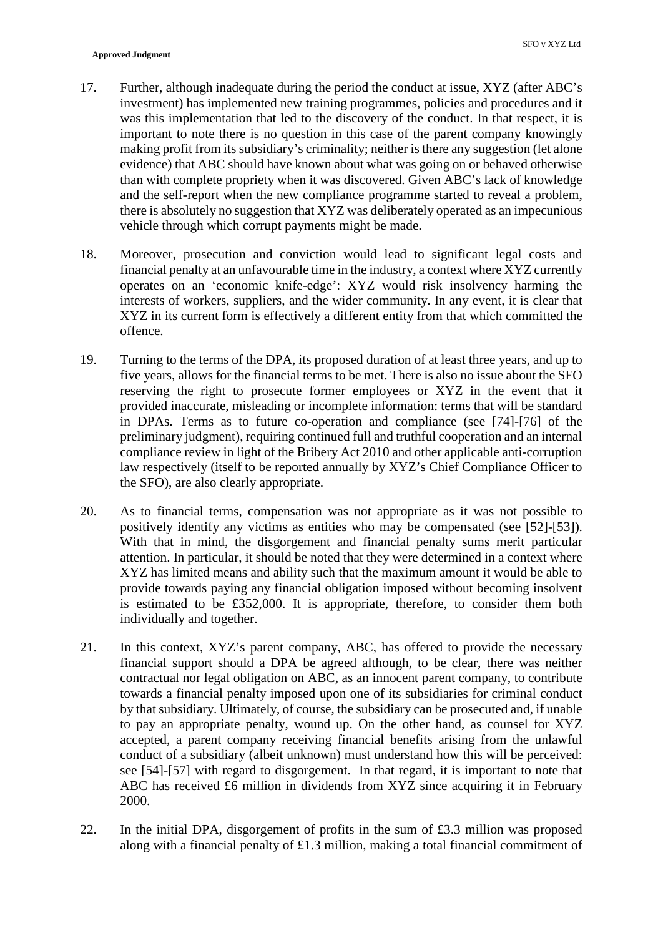- 17. Further, although inadequate during the period the conduct at issue, XYZ (after ABC's investment) has implemented new training programmes, policies and procedures and it was this implementation that led to the discovery of the conduct. In that respect, it is important to note there is no question in this case of the parent company knowingly making profit from its subsidiary's criminality; neither is there any suggestion (let alone evidence) that ABC should have known about what was going on or behaved otherwise than with complete propriety when it was discovered. Given ABC's lack of knowledge and the self-report when the new compliance programme started to reveal a problem, there is absolutely no suggestion that XYZ was deliberately operated as an impecunious vehicle through which corrupt payments might be made.
- 18. Moreover, prosecution and conviction would lead to significant legal costs and financial penalty at an unfavourable time in the industry, a context where XYZ currently operates on an 'economic knife-edge': XYZ would risk insolvency harming the interests of workers, suppliers, and the wider community. In any event, it is clear that XYZ in its current form is effectively a different entity from that which committed the offence.
- 19. Turning to the terms of the DPA, its proposed duration of at least three years, and up to five years, allows for the financial terms to be met. There is also no issue about the SFO reserving the right to prosecute former employees or XYZ in the event that it provided inaccurate, misleading or incomplete information: terms that will be standard in DPAs. Terms as to future co-operation and compliance (see [74]-[76] of the preliminary judgment), requiring continued full and truthful cooperation and an internal compliance review in light of the Bribery Act 2010 and other applicable anti-corruption law respectively (itself to be reported annually by XYZ's Chief Compliance Officer to the SFO), are also clearly appropriate.
- 20. As to financial terms, compensation was not appropriate as it was not possible to positively identify any victims as entities who may be compensated (see [52]-[53]). With that in mind, the disgorgement and financial penalty sums merit particular attention. In particular, it should be noted that they were determined in a context where XYZ has limited means and ability such that the maximum amount it would be able to provide towards paying any financial obligation imposed without becoming insolvent is estimated to be £352,000. It is appropriate, therefore, to consider them both individually and together.
- 21. In this context, XYZ's parent company, ABC, has offered to provide the necessary financial support should a DPA be agreed although, to be clear, there was neither contractual nor legal obligation on ABC, as an innocent parent company, to contribute towards a financial penalty imposed upon one of its subsidiaries for criminal conduct by that subsidiary. Ultimately, of course, the subsidiary can be prosecuted and, if unable to pay an appropriate penalty, wound up. On the other hand, as counsel for XYZ accepted, a parent company receiving financial benefits arising from the unlawful conduct of a subsidiary (albeit unknown) must understand how this will be perceived: see [54]-[57] with regard to disgorgement. In that regard, it is important to note that ABC has received £6 million in dividends from XYZ since acquiring it in February 2000.
- 22. In the initial DPA, disgorgement of profits in the sum of £3.3 million was proposed along with a financial penalty of £1.3 million, making a total financial commitment of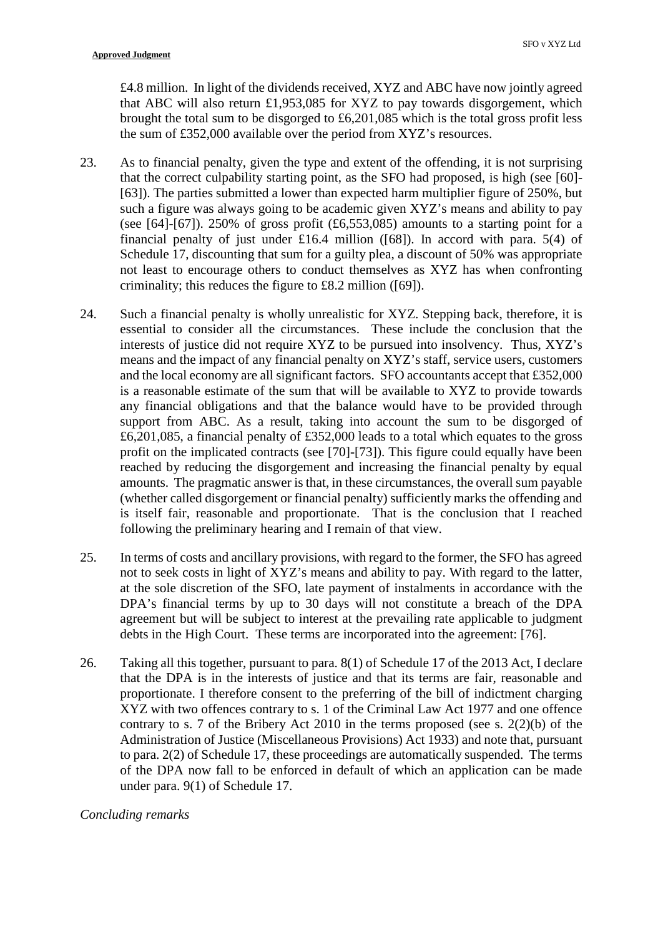£4.8 million. In light of the dividends received, XYZ and ABC have now jointly agreed that ABC will also return £1,953,085 for XYZ to pay towards disgorgement, which brought the total sum to be disgorged to £6,201,085 which is the total gross profit less the sum of £352,000 available over the period from XYZ's resources.

- 23. As to financial penalty, given the type and extent of the offending, it is not surprising that the correct culpability starting point, as the SFO had proposed, is high (see [60]- [63]). The parties submitted a lower than expected harm multiplier figure of 250%, but such a figure was always going to be academic given XYZ's means and ability to pay (see [64]-[67]). 250% of gross profit  $(f6, 553, 085)$  amounts to a starting point for a financial penalty of just under £16.4 million ([68]). In accord with para. 5(4) of Schedule 17, discounting that sum for a guilty plea, a discount of 50% was appropriate not least to encourage others to conduct themselves as XYZ has when confronting criminality; this reduces the figure to £8.2 million ([69]).
- 24. Such a financial penalty is wholly unrealistic for XYZ. Stepping back, therefore, it is essential to consider all the circumstances. These include the conclusion that the interests of justice did not require XYZ to be pursued into insolvency. Thus, XYZ's means and the impact of any financial penalty on XYZ's staff, service users, customers and the local economy are all significant factors. SFO accountants accept that £352,000 is a reasonable estimate of the sum that will be available to XYZ to provide towards any financial obligations and that the balance would have to be provided through support from ABC. As a result, taking into account the sum to be disgorged of £6,201,085, a financial penalty of £352,000 leads to a total which equates to the gross profit on the implicated contracts (see [70]-[73]). This figure could equally have been reached by reducing the disgorgement and increasing the financial penalty by equal amounts. The pragmatic answer is that, in these circumstances, the overall sum payable (whether called disgorgement or financial penalty) sufficiently marks the offending and is itself fair, reasonable and proportionate. That is the conclusion that I reached following the preliminary hearing and I remain of that view.
- 25. In terms of costs and ancillary provisions, with regard to the former, the SFO has agreed not to seek costs in light of XYZ's means and ability to pay. With regard to the latter, at the sole discretion of the SFO, late payment of instalments in accordance with the DPA's financial terms by up to 30 days will not constitute a breach of the DPA agreement but will be subject to interest at the prevailing rate applicable to judgment debts in the High Court. These terms are incorporated into the agreement: [76].
- 26. Taking all this together, pursuant to para. 8(1) of Schedule 17 of the 2013 Act, I declare that the DPA is in the interests of justice and that its terms are fair, reasonable and proportionate. I therefore consent to the preferring of the bill of indictment charging XYZ with two offences contrary to s. 1 of the Criminal Law Act 1977 and one offence contrary to s. 7 of the Bribery Act 2010 in the terms proposed (see s. 2(2)(b) of the Administration of Justice (Miscellaneous Provisions) Act 1933) and note that, pursuant to para. 2(2) of Schedule 17, these proceedings are automatically suspended. The terms of the DPA now fall to be enforced in default of which an application can be made under para. 9(1) of Schedule 17.

## *Concluding remarks*